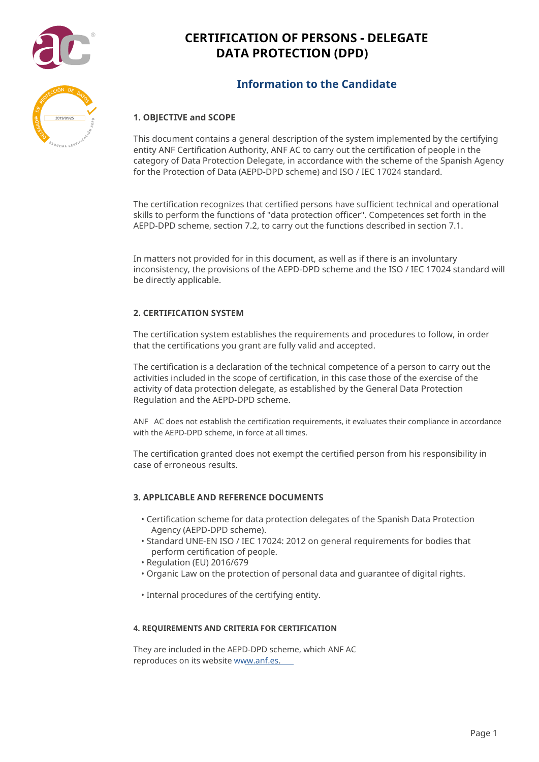

# **CERTIFICATION OF PERSONS - DELEGATE DATA PROTECTION (DPD)**

# **Information to the Candidate**

# **1. OBJECTIVE and SCOPE**

This document contains a general description of the system implemented by the certifying entity ANF Certification Authority, ANF AC to carry out the certification of people in the category of Data Protection Delegate, in accordance with the scheme of the Spanish Agency for the Protection of Data (AEPD-DPD scheme) and ISO / IEC 17024 standard.

The certification recognizes that certified persons have sufficient technical and operational skills to perform the functions of "data protection officer". Competences set forth in the AEPD-DPD scheme, section 7.2, to carry out the functions described in section 7.1.

In matters not provided for in this document, as well as if there is an involuntary inconsistency, the provisions of the AEPD-DPD scheme and the ISO / IEC 17024 standard will be directly applicable.

# **2. CERTIFICATION SYSTEM**

The certification system establishes the requirements and procedures to follow, in order that the certifications you grant are fully valid and accepted.

The certification is a declaration of the technical competence of a person to carry out the activities included in the scope of certification, in this case those of the exercise of the activity of data protection delegate, as established by the General Data Protection Regulation and the AEPD-DPD scheme.

ANF AC does not establish the certification requirements, it evaluates their compliance in accordance with the AEPD-DPD scheme, in force at all times.

The certification granted does not exempt the certified person from his responsibility in case of erroneous results.

# **3. APPLICABLE AND REFERENCE DOCUMENTS**

- Certification scheme for data protection delegates of the Spanish Data Protection Agency (AEPD-DPD scheme).
- Standard UNE-EN ISO / IEC 17024: 2012 on general requirements for bodies that perform certification of people.
- Regulation (EU) 2016/679
- Organic Law on the protection of personal data and guarantee of digital rights.
- Internal procedures of the certifying entity.

# **4. REQUIREMENTS AND CRITERIA FOR CERTIFICATION**

They are included in the AEPD-DPD scheme, which ANF AC reproduces on its website w[ww.anf.es.](http://www.anf.es )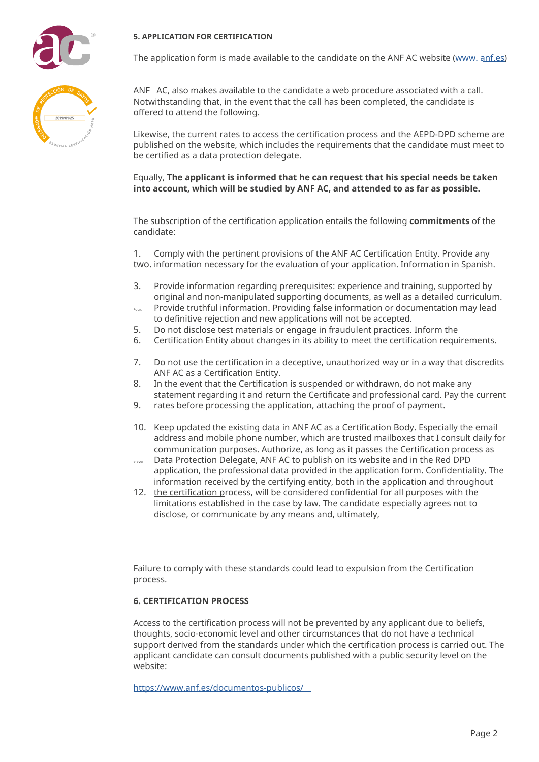# **5. APPLICATION FOR CERTIFICATION**





[The ap](http://www.anf.es)plication form is made available to the candidate on the ANF AC website (www. [anf.es\)](http://www.anf.es)

ANF AC, also makes available to the candidate a web procedure associated with a call. Notwithstanding that, in the event that the call has been completed, the candidate is offered to attend the following.

Likewise, the current rates to access the certification process and the AEPD-DPD scheme are published on the website, which includes the requirements that the candidate must meet to be certified as a data protection delegate.

#### Equally, **The applicant is informed that he can request that his special needs be taken into account, which will be studied by ANF AC, and attended to as far as possible.**

The subscription of the certification application entails the following **commitments** of the candidate:

1. two. information necessary for the evaluation of your application. Information in Spanish. Comply with the pertinent provisions of the ANF AC Certification Entity. Provide any

- Provide information regarding prerequisites: experience and training, supported by original and non-manipulated supporting documents, as well as a detailed curriculum. 3.
- Provide truthful information. Providing false information or documentation may lead to definitive rejection and new applications will not be accepted. Four.
- Do not disclose test materials or engage in fraudulent practices. Inform the 5.
- Certification Entity about changes in its ability to meet the certification requirements. 6.
- Do not use the certification in a deceptive, unauthorized way or in a way that discredits ANF AC as a Certification Entity. 7.
- In the event that the Certification is suspended or withdrawn, do not make any statement regarding it and return the Certificate and professional card. Pay the current 8.
- rates before processing the application, attaching the proof of payment. 9.
- 10. Keep updated the existing data in ANF AC as a Certification Body. Especially the email address and mobile phone number, which are trusted mailboxes that I consult daily for communication purposes. Authorize, as long as it passes the Certification process as
- eleven. Data Protection Delegate, ANF AC to publish on its website and in the Red DPD application, the professional data provided in the application form. Confidentiality. The information received by the certifying entity, both in the application and throughout
- 12. the certification process, will be considered confidential for all purposes with the limitations established in the case by law. The candidate especially agrees not to disclose, or communicate by any means and, ultimately,

Failure to comply with these standards could lead to expulsion from the Certification process.

#### **6. CERTIFICATION PROCESS**

Access to the certification process will not be prevented by any applicant due to beliefs, thoughts, socio-economic level and other circumstances that do not have a technical support derived from the standards under which the certification process is carried out. The applicant candidate can consult documents published with a public security level on the website:

<https://www.anf.es/documentos-publicos/>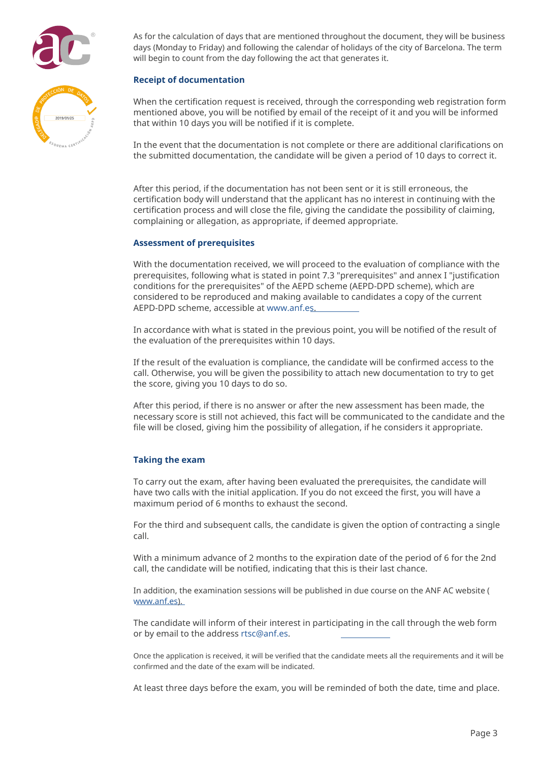



As for the calculation of days that are mentioned throughout the document, they will be business days (Monday to Friday) and following the calendar of holidays of the city of Barcelona. The term will begin to count from the day following the act that generates it.

#### **Receipt of documentation**

When the certification request is received, through the corresponding web registration form mentioned above, you will be notified by email of the receipt of it and you will be informed that within 10 days you will be notified if it is complete.

In the event that the documentation is not complete or there are additional clarifications on the submitted documentation, the candidate will be given a period of 10 days to correct it.

After this period, if the documentation has not been sent or it is still erroneous, the certification body will understand that the applicant has no interest in continuing with the certification process and will close the file, giving the candidate the possibility of claiming, complaining or allegation, as appropriate, if deemed appropriate.

#### **Assessment of prerequisites**

With the documentation received, we will proceed to the evaluation of compliance with the prerequisites, following what is stated in point 7.3 "prerequisites" and annex I "justification conditions for the prerequisites" of the AEPD scheme (AEPD-DPD scheme), which are considered to be reproduced and making available to candidates a copy of the current AEPD-DPD scheme, accessible at www.anf.e[s.](http://www.anf.es)

In accordance with what is stated in the previous point, you will be notified of the result of the evaluation of the prerequisites within 10 days.

If the result of the evaluation is compliance, the candidate will be confirmed access to the call. Otherwise, you will be given the possibility to attach new documentation to try to get the score, giving you 10 days to do so.

After this period, if there is no answer or after the new assessment has been made, the necessary score is still not achieved, this fact will be communicated to the candidate and the file will be closed, giving him the possibility of allegation, if he considers it appropriate.

# **Taking the exam**

To carry out the exam, after having been evaluated the prerequisites, the candidate will have two calls with the initial application. If you do not exceed the first, you will have a maximum period of 6 months to exhaust the second.

For the third and subsequent calls, the candidate is given the option of contracting a single call.

With a minimum advance of 2 months to the expiration date of the period of 6 for the 2nd call, the candidate will be notified, indicating that this is their last chance.

In addition, the examination sessions will be published in due course on the ANF AC website ( [www.anf.es\).](http://www.anf.es)

The candidate will inform of their interest in partici[pating in the](mailto:rtsc@anf.es) call through the web form or by email to the address rtsc@anf.es.

Once the application is received, it will be verified that the candidate meets all the requirements and it will be confirmed and the date of the exam will be indicated.

At least three days before the exam, you will be reminded of both the date, time and place.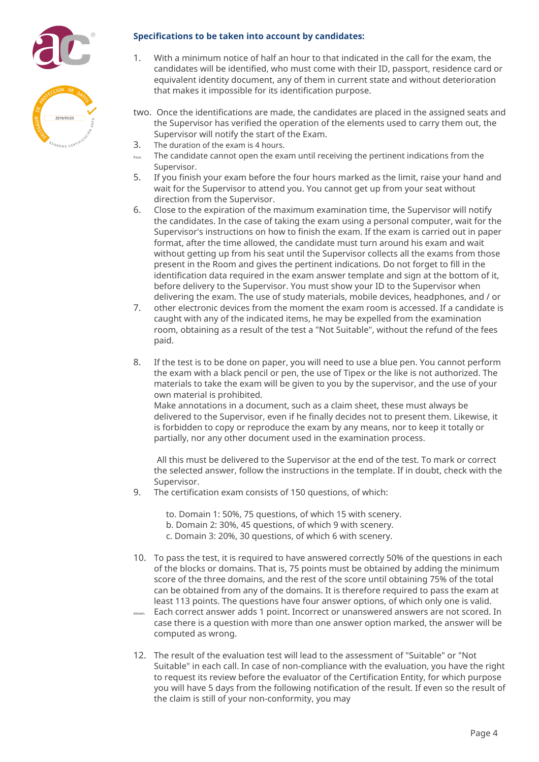



# **Specifications to be taken into account by candidates:**

- 1. With a minimum notice of half an hour to that indicated in the call for the exam, the candidates will be identified, who must come with their ID, passport, residence card or equivalent identity document, any of them in current state and without deterioration that makes it impossible for its identification purpose.
- two. Once the identifications are made, the candidates are placed in the assigned seats and the Supervisor has verified the operation of the elements used to carry them out, the Supervisor will notify the start of the Exam.
- The duration of the exam is 4 hours. 3.
- The candidate cannot open the exam until receiving the pertinent indications from the Supervisor. Four.
- If you finish your exam before the four hours marked as the limit, raise your hand and wait for the Supervisor to attend you. You cannot get up from your seat without direction from the Supervisor. 5.
- Close to the expiration of the maximum examination time, the Supervisor will notify the candidates. In the case of taking the exam using a personal computer, wait for the Supervisor's instructions on how to finish the exam. If the exam is carried out in paper format, after the time allowed, the candidate must turn around his exam and wait without getting up from his seat until the Supervisor collects all the exams from those present in the Room and gives the pertinent indications. Do not forget to fill in the identification data required in the exam answer template and sign at the bottom of it, before delivery to the Supervisor. You must show your ID to the Supervisor when delivering the exam. The use of study materials, mobile devices, headphones, and / or 6.
- other electronic devices from the moment the exam room is accessed. If a candidate is caught with any of the indicated items, he may be expelled from the examination room, obtaining as a result of the test a "Not Suitable", without the refund of the fees paid. 7.
- If the test is to be done on paper, you will need to use a blue pen. You cannot perform the exam with a black pencil or pen, the use of Tipex or the like is not authorized. The materials to take the exam will be given to you by the supervisor, and the use of your own material is prohibited. Make annotations in a document, such as a claim sheet, these must always be delivered to the Supervisor, even if he finally decides not to present them. Likewise, it is forbidden to copy or reproduce the exam by any means, nor to keep it totally or 8.

All this must be delivered to the Supervisor at the end of the test. To mark or correct the selected answer, follow the instructions in the template. If in doubt, check with the Supervisor.

The certification exam consists of 150 questions, of which: 9.

> to. Domain 1: 50%, 75 questions, of which 15 with scenery. b. Domain 2: 30%, 45 questions, of which 9 with scenery. c. Domain 3: 20%, 30 questions, of which 6 with scenery.

partially, nor any other document used in the examination process.

- 10. To pass the test, it is required to have answered correctly 50% of the questions in each of the blocks or domains. That is, 75 points must be obtained by adding the minimum score of the three domains, and the rest of the score until obtaining 75% of the total can be obtained from any of the domains. It is therefore required to pass the exam at least 113 points. The questions have four answer options, of which only one is valid.
- Each correct answer adds 1 point. Incorrect or unanswered answers are not scored. In eleven. case there is a question with more than one answer option marked, the answer will be computed as wrong.
- 12. The result of the evaluation test will lead to the assessment of "Suitable" or "Not Suitable" in each call. In case of non-compliance with the evaluation, you have the right to request its review before the evaluator of the Certification Entity, for which purpose you will have 5 days from the following notification of the result. If even so the result of the claim is still of your non-conformity, you may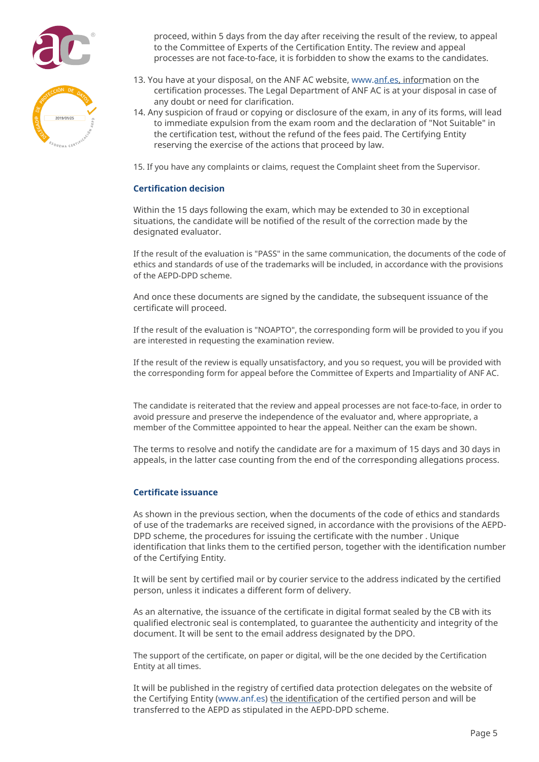



proceed, within 5 days from the day after receiving the result of the review, to appeal to the Committee of Experts of the Certification Entity. The review and appeal processes are not face-to-face, it is forbidden to show the exams to the candidates.

- 13. You have at your disposal, on the ANF AC website, www.[anf.es, inform](http://www.anf.es)ation on the certification processes. The Legal Department of ANF AC is at your disposal in case of any doubt or need for clarification.
- 14. Any suspicion of fraud or copying or disclosure of the exam, in any of its forms, will lead to immediate expulsion from the exam room and the declaration of "Not Suitable" in the certification test, without the refund of the fees paid. The Certifying Entity reserving the exercise of the actions that proceed by law.

15. If you have any complaints or claims, request the Complaint sheet from the Supervisor.

#### **Certification decision**

Within the 15 days following the exam, which may be extended to 30 in exceptional situations, the candidate will be notified of the result of the correction made by the designated evaluator.

If the result of the evaluation is "PASS" in the same communication, the documents of the code of ethics and standards of use of the trademarks will be included, in accordance with the provisions of the AEPD-DPD scheme.

And once these documents are signed by the candidate, the subsequent issuance of the certificate will proceed.

If the result of the evaluation is "NOAPTO", the corresponding form will be provided to you if you are interested in requesting the examination review.

If the result of the review is equally unsatisfactory, and you so request, you will be provided with the corresponding form for appeal before the Committee of Experts and Impartiality of ANF AC.

The candidate is reiterated that the review and appeal processes are not face-to-face, in order to avoid pressure and preserve the independence of the evaluator and, where appropriate, a member of the Committee appointed to hear the appeal. Neither can the exam be shown.

The terms to resolve and notify the candidate are for a maximum of 15 days and 30 days in appeals, in the latter case counting from the end of the corresponding allegations process.

#### **Certificate issuance**

As shown in the previous section, when the documents of the code of ethics and standards of use of the trademarks are received signed, in accordance with the provisions of the AEPD-DPD scheme, the procedures for issuing the certificate with the number . Unique identification that links them to the certified person, together with the identification number of the Certifying Entity.

It will be sent by certified mail or by courier service to the address indicated by the certified person, unless it indicates a different form of delivery.

As an alternative, the issuance of the certificate in digital format sealed by the CB with its qualified electronic seal is contemplated, to guarantee the authenticity and integrity of the document. It will be sent to the email address designated by the DPO.

The support of the certificate, on paper or digital, will be the one decided by the Certification Entity at all times.

It will be published in the registry of certified data protection delegates on the website of the Certifying Entity (www.anf.es) [the identifica](http://www.anf.es)tion of the certified person and will be transferred to the AEPD as stipulated in the AEPD-DPD scheme.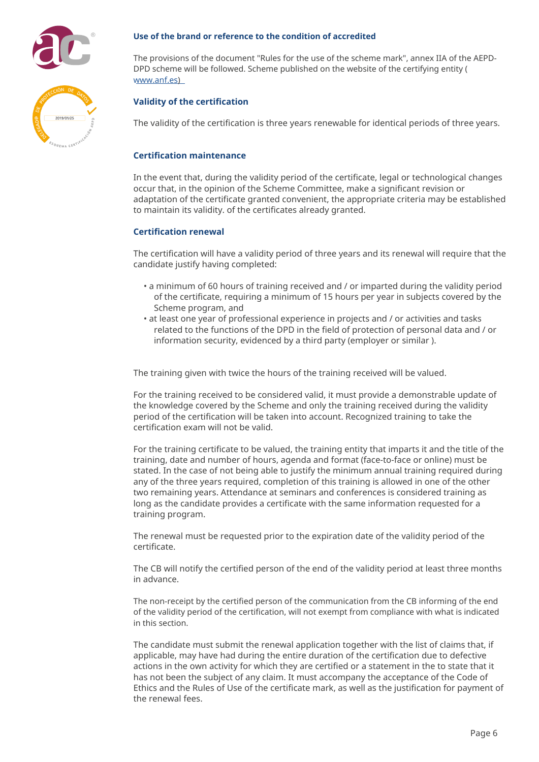



#### **Use of the brand or reference to the condition of accredited**

The provisions of the document "Rules for the use of the scheme mark", annex IIA of the AEPD-DPD scheme will be followed. Scheme published on the website of the certifying entity ( [www.anf.es\)](http://www.anf.es)

#### **Validity of the certification**

The validity of the certification is three years renewable for identical periods of three years.

#### **Certification maintenance**

In the event that, during the validity period of the certificate, legal or technological changes occur that, in the opinion of the Scheme Committee, make a significant revision or adaptation of the certificate granted convenient, the appropriate criteria may be established to maintain its validity. of the certificates already granted.

#### **Certification renewal**

The certification will have a validity period of three years and its renewal will require that the candidate justify having completed:

- a minimum of 60 hours of training received and / or imparted during the validity period of the certificate, requiring a minimum of 15 hours per year in subjects covered by the Scheme program, and
- at least one year of professional experience in projects and / or activities and tasks related to the functions of the DPD in the field of protection of personal data and / or information security, evidenced by a third party (employer or similar ).

The training given with twice the hours of the training received will be valued.

For the training received to be considered valid, it must provide a demonstrable update of the knowledge covered by the Scheme and only the training received during the validity period of the certification will be taken into account. Recognized training to take the certification exam will not be valid.

For the training certificate to be valued, the training entity that imparts it and the title of the training, date and number of hours, agenda and format (face-to-face or online) must be stated. In the case of not being able to justify the minimum annual training required during any of the three years required, completion of this training is allowed in one of the other two remaining years. Attendance at seminars and conferences is considered training as long as the candidate provides a certificate with the same information requested for a training program.

The renewal must be requested prior to the expiration date of the validity period of the certificate.

The CB will notify the certified person of the end of the validity period at least three months in advance.

The non-receipt by the certified person of the communication from the CB informing of the end of the validity period of the certification, will not exempt from compliance with what is indicated in this section.

The candidate must submit the renewal application together with the list of claims that, if applicable, may have had during the entire duration of the certification due to defective actions in the own activity for which they are certified or a statement in the to state that it has not been the subject of any claim. It must accompany the acceptance of the Code of Ethics and the Rules of Use of the certificate mark, as well as the justification for payment of the renewal fees.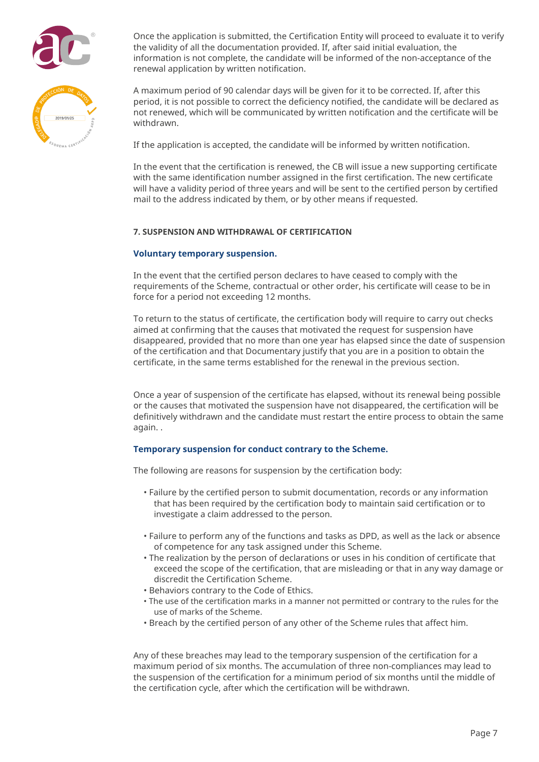



Once the application is submitted, the Certification Entity will proceed to evaluate it to verify the validity of all the documentation provided. If, after said initial evaluation, the information is not complete, the candidate will be informed of the non-acceptance of the renewal application by written notification.

A maximum period of 90 calendar days will be given for it to be corrected. If, after this period, it is not possible to correct the deficiency notified, the candidate will be declared as not renewed, which will be communicated by written notification and the certificate will be withdrawn.

If the application is accepted, the candidate will be informed by written notification.

In the event that the certification is renewed, the CB will issue a new supporting certificate with the same identification number assigned in the first certification. The new certificate will have a validity period of three years and will be sent to the certified person by certified mail to the address indicated by them, or by other means if requested.

#### **7. SUSPENSION AND WITHDRAWAL OF CERTIFICATION**

# **Voluntary temporary suspension.**

In the event that the certified person declares to have ceased to comply with the requirements of the Scheme, contractual or other order, his certificate will cease to be in force for a period not exceeding 12 months.

To return to the status of certificate, the certification body will require to carry out checks aimed at confirming that the causes that motivated the request for suspension have disappeared, provided that no more than one year has elapsed since the date of suspension of the certification and that Documentary justify that you are in a position to obtain the certificate, in the same terms established for the renewal in the previous section.

Once a year of suspension of the certificate has elapsed, without its renewal being possible or the causes that motivated the suspension have not disappeared, the certification will be definitively withdrawn and the candidate must restart the entire process to obtain the same again. .

# **Temporary suspension for conduct contrary to the Scheme.**

The following are reasons for suspension by the certification body:

- Failure by the certified person to submit documentation, records or any information that has been required by the certification body to maintain said certification or to investigate a claim addressed to the person.
- Failure to perform any of the functions and tasks as DPD, as well as the lack or absence of competence for any task assigned under this Scheme.
- The realization by the person of declarations or uses in his condition of certificate that exceed the scope of the certification, that are misleading or that in any way damage or discredit the Certification Scheme.
- Behaviors contrary to the Code of Ethics.
- The use of the certification marks in a manner not permitted or contrary to the rules for the use of marks of the Scheme.
- Breach by the certified person of any other of the Scheme rules that affect him.

Any of these breaches may lead to the temporary suspension of the certification for a maximum period of six months. The accumulation of three non-compliances may lead to the suspension of the certification for a minimum period of six months until the middle of the certification cycle, after which the certification will be withdrawn.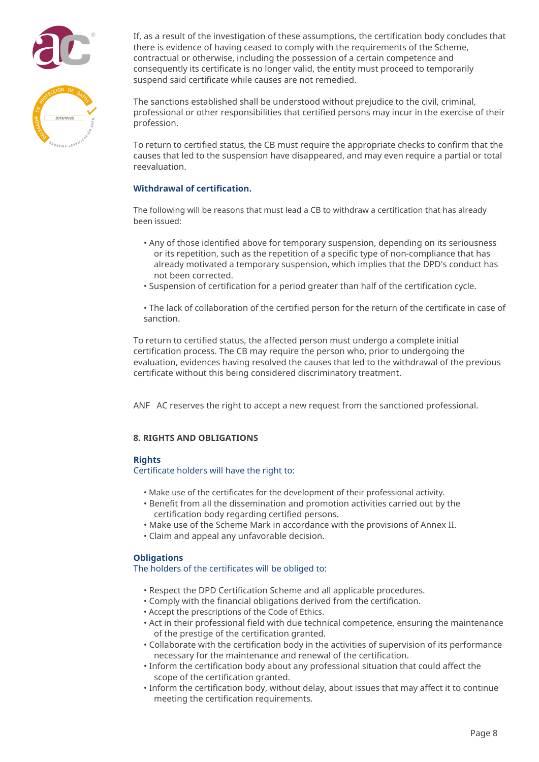



If, as a result of the investigation of these assumptions, the certification body concludes that there is evidence of having ceased to comply with the requirements of the Scheme, contractual or otherwise, including the possession of a certain competence and consequently its certificate is no longer valid, the entity must proceed to temporarily suspend said certificate while causes are not remedied.

The sanctions established shall be understood without prejudice to the civil, criminal, professional or other responsibilities that certified persons may incur in the exercise of their profession.

To return to certified status, the CB must require the appropriate checks to confirm that the causes that led to the suspension have disappeared, and may even require a partial or total reevaluation.

# **Withdrawal of certification.**

The following will be reasons that must lead a CB to withdraw a certification that has already been issued:

- Any of those identified above for temporary suspension, depending on its seriousness or its repetition, such as the repetition of a specific type of non-compliance that has already motivated a temporary suspension, which implies that the DPD's conduct has not been corrected.
- Suspension of certification for a period greater than half of the certification cycle.

• The lack of collaboration of the certified person for the return of the certificate in case of sanction.

To return to certified status, the affected person must undergo a complete initial certification process. The CB may require the person who, prior to undergoing the evaluation, evidences having resolved the causes that led to the withdrawal of the previous certificate without this being considered discriminatory treatment.

ANF AC reserves the right to accept a new request from the sanctioned professional.

# **8. RIGHTS AND OBLIGATIONS**

# **Rights**

Certificate holders will have the right to:

- Make use of the certificates for the development of their professional activity.
- Benefit from all the dissemination and promotion activities carried out by the certification body regarding certified persons.
- Make use of the Scheme Mark in accordance with the provisions of Annex II.
- Claim and appeal any unfavorable decision.

# **Obligations**

The holders of the certificates will be obliged to:

- Respect the DPD Certification Scheme and all applicable procedures.
- Comply with the financial obligations derived from the certification.
- Accept the prescriptions of the Code of Ethics.
- Act in their professional field with due technical competence, ensuring the maintenance of the prestige of the certification granted.
- Collaborate with the certification body in the activities of supervision of its performance necessary for the maintenance and renewal of the certification.
- Inform the certification body about any professional situation that could affect the scope of the certification granted.
- Inform the certification body, without delay, about issues that may affect it to continue meeting the certification requirements.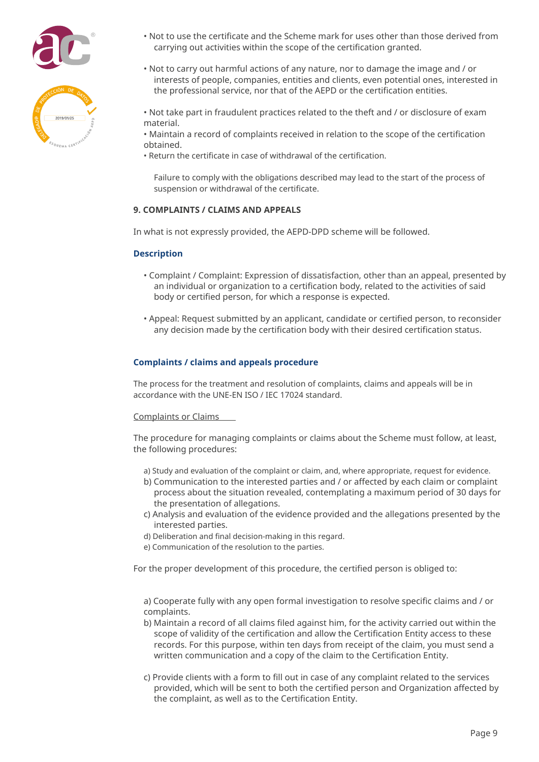



- Not to use the certificate and the Scheme mark for uses other than those derived from carrying out activities within the scope of the certification granted.
- Not to carry out harmful actions of any nature, nor to damage the image and / or interests of people, companies, entities and clients, even potential ones, interested in the professional service, nor that of the AEPD or the certification entities.

• Not take part in fraudulent practices related to the theft and / or disclosure of exam material.

• Maintain a record of complaints received in relation to the scope of the certification obtained.

• Return the certificate in case of withdrawal of the certification.

Failure to comply with the obligations described may lead to the start of the process of suspension or withdrawal of the certificate.

# **9. COMPLAINTS / CLAIMS AND APPEALS**

In what is not expressly provided, the AEPD-DPD scheme will be followed.

# **Description**

- Complaint / Complaint: Expression of dissatisfaction, other than an appeal, presented by an individual or organization to a certification body, related to the activities of said body or certified person, for which a response is expected.
- Appeal: Request submitted by an applicant, candidate or certified person, to reconsider any decision made by the certification body with their desired certification status.

# **Complaints / claims and appeals procedure**

The process for the treatment and resolution of complaints, claims and appeals will be in accordance with the UNE-EN ISO / IEC 17024 standard.

#### Complaints or Claims

The procedure for managing complaints or claims about the Scheme must follow, at least, the following procedures:

- a) Study and evaluation of the complaint or claim, and, where appropriate, request for evidence.
- b) Communication to the interested parties and / or affected by each claim or complaint process about the situation revealed, contemplating a maximum period of 30 days for the presentation of allegations.
- c) Analysis and evaluation of the evidence provided and the allegations presented by the interested parties.
- d) Deliberation and final decision-making in this regard.
- e) Communication of the resolution to the parties.

For the proper development of this procedure, the certified person is obliged to:

a) Cooperate fully with any open formal investigation to resolve specific claims and / or complaints.

- b) Maintain a record of all claims filed against him, for the activity carried out within the scope of validity of the certification and allow the Certification Entity access to these records. For this purpose, within ten days from receipt of the claim, you must send a written communication and a copy of the claim to the Certification Entity.
- c) Provide clients with a form to fill out in case of any complaint related to the services provided, which will be sent to both the certified person and Organization affected by the complaint, as well as to the Certification Entity.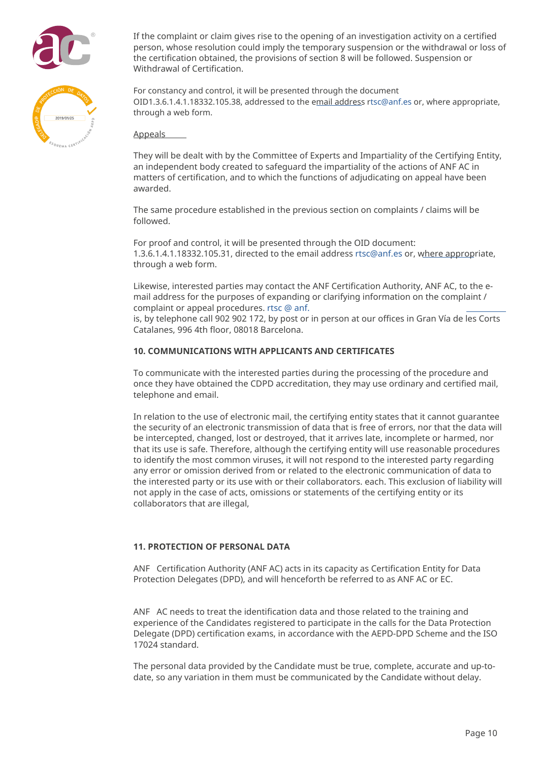



If the complaint or claim gives rise to the opening of an investigation activity on a certified person, whose resolution could imply the temporary suspension or the withdrawal or loss of the certification obtained, the provisions of section 8 will be followed. Suspension or Withdrawal of Certification.

For constancy and control, it will be presented through the document OID1.3.6.1.4.1.18332.105.38, addressed to the e[mail address](mailto:tsc@anf.es) rtsc@anf.es or, where appropriate, through a web form.

Appeals

They will be dealt with by the Committee of Experts and Impartiality of the Certifying Entity, an independent body created to safeguard the impartiality of the actions of ANF AC in matters of certification, and to which the functions of adjudicating on appeal have been awarded.

The same procedure established in the previous section on complaints / claims will be followed.

For proof and control, it will be presented through the OID document: 1.3.6.1.4.1.18332.105.31, directed to the email address rtsc@anf.es or, [where approp](mailto:rtsc@anf.es )riate, through a web form.

Likewise, interested parties may contact the ANF Certification Authority, ANF AC, to the email address for the purposes of expanding or clarifying information on the compl[aint /](mailto:rtsc@anf.)  complaint or appeal procedures. rtsc @ anf.

is, by telephone call 902 902 172, by post or in person at our offices in Gran Vía de les Corts Catalanes, 996 4th floor, 08018 Barcelona.

# **10. COMMUNICATIONS WITH APPLICANTS AND CERTIFICATES**

To communicate with the interested parties during the processing of the procedure and once they have obtained the CDPD accreditation, they may use ordinary and certified mail, telephone and email.

In relation to the use of electronic mail, the certifying entity states that it cannot guarantee the security of an electronic transmission of data that is free of errors, nor that the data will be intercepted, changed, lost or destroyed, that it arrives late, incomplete or harmed, nor that its use is safe. Therefore, although the certifying entity will use reasonable procedures to identify the most common viruses, it will not respond to the interested party regarding any error or omission derived from or related to the electronic communication of data to the interested party or its use with or their collaborators. each. This exclusion of liability will not apply in the case of acts, omissions or statements of the certifying entity or its collaborators that are illegal,

# **11. PROTECTION OF PERSONAL DATA**

ANF Certification Authority (ANF AC) acts in its capacity as Certification Entity for Data Protection Delegates (DPD), and will henceforth be referred to as ANF AC or EC.

ANF AC needs to treat the identification data and those related to the training and experience of the Candidates registered to participate in the calls for the Data Protection Delegate (DPD) certification exams, in accordance with the AEPD-DPD Scheme and the ISO 17024 standard.

The personal data provided by the Candidate must be true, complete, accurate and up-todate, so any variation in them must be communicated by the Candidate without delay.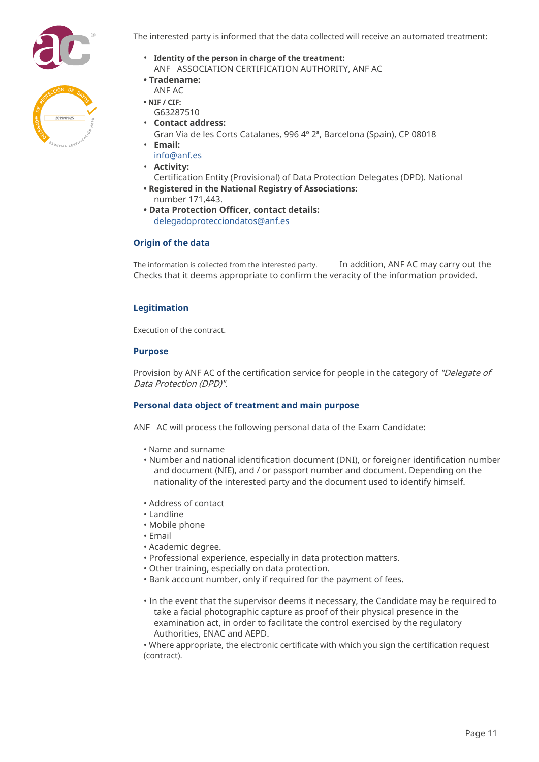



The interested party is informed that the data collected will receive an automated treatment:

- **Identity of the person in charge of the treatment:** ANF ASSOCIATION CERTIFICATION AUTHORITY, ANF AC
- **Tradename:**
- ANF AC
- **NIF / CIF:** G63287510
- **Contact address:**
	- Gran Via de les Corts Catalanes, 996 4º 2ª, Barcelona (Spain), CP 08018
- **Email:**
	- [info@anf.es](mailto:info@anf.es)
- **Activity:**
- **Registered in the National Registry of Associations:** Certification Entity (Provisional) of Data Protection Delegates (DPD). National
	- number 171,443.
- **Data Protection Officer, contact details:** [delegadoprotecciondatos@anf.es](mailto:delegadoprotecciondatos@anf.es )

# **Origin of the data**

The information is collected from the interested party. Checks that it deems appropriate to confirm the veracity of the information provided. In addition, ANF AC may carry out the

#### **Legitimation**

Execution of the contract.

#### **Purpose**

Provision by ANF AC of the certification service for people in the category of "Delegate of Data Protection (DPD)".

# **Personal data object of treatment and main purpose**

ANF AC will process the following personal data of the Exam Candidate:

- Name and surname
- Number and national identification document (DNI), or foreigner identification number and document (NIE), and / or passport number and document. Depending on the nationality of the interested party and the document used to identify himself.
- Address of contact
- Landline
- Mobile phone
- Email
- Academic degree.
- Professional experience, especially in data protection matters.
- Other training, especially on data protection.
- Bank account number, only if required for the payment of fees.
- In the event that the supervisor deems it necessary, the Candidate may be required to take a facial photographic capture as proof of their physical presence in the examination act, in order to facilitate the control exercised by the regulatory Authorities, ENAC and AEPD.

• Where appropriate, the electronic certificate with which you sign the certification request (contract).